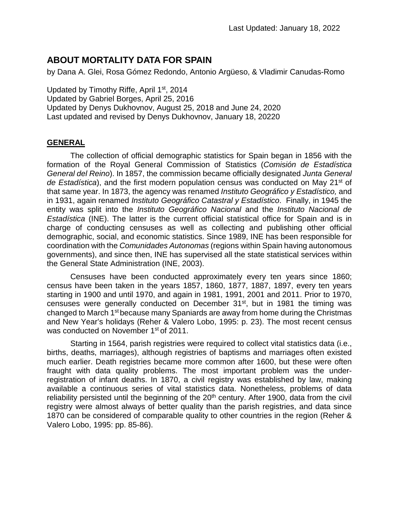# **ABOUT MORTALITY DATA FOR SPAIN**

by Dana A. Glei, Rosa Gómez Redondo, Antonio Argüeso, & Vladimir Canudas-Romo

Updated by Timothy Riffe, April 1<sup>st</sup>, 2014 Updated by Gabriel Borges, April 25, 2016 Updated by Denys Dukhovnov, August 25, 2018 and June 24, 2020 Last updated and revised by Denys Dukhovnov, January 18, 20220

# **GENERAL**

The collection of official demographic statistics for Spain began in 1856 with the formation of the Royal General Commission of Statistics (*Comisión de Estadística General del Reino*). In 1857, the commission became officially designated *Junta General*  de Estadística), and the first modern population census was conducted on May 21<sup>st</sup> of that same year. In 1873, the agency was renamed *Instituto Geográfico y Estadístico,* and in 1931, again renamed *Instituto Geográfico Catastral y Estadístico*. Finally, in 1945 the entity was split into the *Instituto Geográfico Nacional* and the *Instituto Nacional de Estadística* (INE). The latter is the current official statistical office for Spain and is in charge of conducting censuses as well as collecting and publishing other official demographic, social, and economic statistics. Since 1989, INE has been responsible for coordination with the *Comunidades Autonomas* (regions within Spain having autonomous governments), and since then, INE has supervised all the state statistical services within the General State Administration (INE, 2003).

Censuses have been conducted approximately every ten years since 1860; census have been taken in the years 1857, 1860, 1877, 1887, 1897, every ten years starting in 1900 and until 1970, and again in 1981, 1991, 2001 and 2011. Prior to 1970, censuses were generally conducted on December 31st, but in 1981 the timing was changed to March 1st because many Spaniards are away from home during the Christmas and New Year's holidays (Reher & Valero Lobo, 1995: p. 23). The most recent census was conducted on November 1<sup>st</sup> of 2011.

Starting in 1564, parish registries were required to collect vital statistics data (i.e., births, deaths, marriages), although registries of baptisms and marriages often existed much earlier. Death registries became more common after 1600, but these were often fraught with data quality problems. The most important problem was the underregistration of infant deaths. In 1870, a civil registry was established by law, making available a continuous series of vital statistics data. Nonetheless, problems of data reliability persisted until the beginning of the 20<sup>th</sup> century. After 1900, data from the civil registry were almost always of better quality than the parish registries, and data since 1870 can be considered of comparable quality to other countries in the region (Reher & Valero Lobo, 1995: pp. 85-86).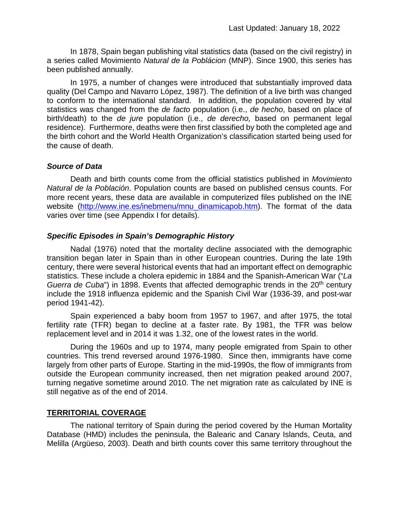In 1878, Spain began publishing vital statistics data (based on the civil registry) in a series called Movimiento *Natural de la Poblácion* (MNP). Since 1900, this series has been published annually.

In 1975, a number of changes were introduced that substantially improved data quality (Del Campo and Navarro López, 1987). The definition of a live birth was changed to conform to the international standard. In addition, the population covered by vital statistics was changed from the *de facto* population (i.e., *de hecho*, based on place of birth/death) to the *de jure* population (i.e., *de derecho,* based on permanent legal residence). Furthermore, deaths were then first classified by both the completed age and the birth cohort and the World Health Organization's classification started being used for the cause of death.

#### *Source of Data*

Death and birth counts come from the official statistics published in *Movimiento Natural de la Población*. Population counts are based on published census counts. For more recent years, these data are available in computerized files published on the INE website [\(http://www.ine.es/inebmenu/mnu\\_dinamicapob.htm\)](http://www.ine.es/inebmenu/mnu_dinamicapob.htm). The format of the data varies over time (see Appendix I for details).

# *Specific Episodes in Spain's Demographic History*

Nadal (1976) noted that the mortality decline associated with the demographic transition began later in Spain than in other European countries. During the late 19th century, there were several historical events that had an important effect on demographic statistics. These include a cholera epidemic in 1884 and the Spanish-American War ("*La Guerra de Cuba*") in 1898. Events that affected demographic trends in the 20<sup>th</sup> century include the 1918 influenza epidemic and the Spanish Civil War (1936-39, and post-war period 1941-42).

Spain experienced a baby boom from 1957 to 1967, and after 1975, the total fertility rate (TFR) began to decline at a faster rate. By 1981, the TFR was below replacement level and in 2014 it was 1.32, one of the lowest rates in the world.

During the 1960s and up to 1974, many people emigrated from Spain to other countries. This trend reversed around 1976-1980. Since then, immigrants have come largely from other parts of Europe. Starting in the mid-1990s, the flow of immigrants from outside the European community increased, then net migration peaked around 2007, turning negative sometime around 2010. The net migration rate as calculated by INE is still negative as of the end of 2014.

#### **TERRITORIAL COVERAGE**

The national territory of Spain during the period covered by the Human Mortality Database (HMD) includes the peninsula, the Balearic and Canary Islands, Ceuta, and Melilla (Argüeso, 2003). Death and birth counts cover this same territory throughout the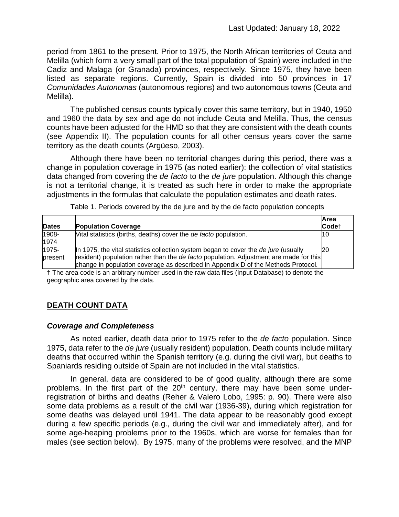period from 1861 to the present. Prior to 1975, the North African territories of Ceuta and Melilla (which form a very small part of the total population of Spain) were included in the Cadiz and Malaga (or Granada) provinces, respectively. Since 1975, they have been listed as separate regions. Currently, Spain is divided into 50 provinces in 17 *Comunidades Autonomas* (autonomous regions) and two autonomous towns (Ceuta and Melilla).

The published census counts typically cover this same territory, but in 1940, 1950 and 1960 the data by sex and age do not include Ceuta and Melilla. Thus, the census counts have been adjusted for the HMD so that they are consistent with the death counts (see Appendix II). The population counts for all other census years cover the same territory as the death counts (Argüeso, 2003).

Although there have been no territorial changes during this period, there was a change in population coverage in 1975 (as noted earlier): the collection of vital statistics data changed from covering the *de facto* to the *de jure* population. Although this change is not a territorial change, it is treated as such here in order to make the appropriate adjustments in the formulas that calculate the population estimates and death rates.

|  |  | Table 1. Periods covered by the de jure and by the de facto population concepts |
|--|--|---------------------------------------------------------------------------------|
|--|--|---------------------------------------------------------------------------------|

| <b>Dates</b>     | <b>Population Coverage</b>                                                                                                                                                                                                                                         | Area<br>Code <sup>+</sup> |
|------------------|--------------------------------------------------------------------------------------------------------------------------------------------------------------------------------------------------------------------------------------------------------------------|---------------------------|
| 1908-<br>1974    | Vital statistics (births, deaths) cover the <i>de facto</i> population.                                                                                                                                                                                            | 10                        |
| 1975-<br>present | In 1975, the vital statistics collection system began to cover the de jure (usually<br>resident) population rather than the de facto population. Adjustment are made for this<br>change in population coverage as described in Appendix D of the Methods Protocol. | <b>20</b>                 |

† The area code is an arbitrary number used in the raw data files (Input Database) to denote the geographic area covered by the data.

# **DEATH COUNT DATA**

#### *Coverage and Completeness*

As noted earlier, death data prior to 1975 refer to the *de facto* population. Since 1975, data refer to the *de jure* (usually resident) population. Death counts include military deaths that occurred within the Spanish territory (e.g. during the civil war), but deaths to Spaniards residing outside of Spain are not included in the vital statistics.

In general, data are considered to be of good quality, although there are some problems. In the first part of the  $20<sup>th</sup>$  century, there may have been some underregistration of births and deaths (Reher & Valero Lobo, 1995: p. 90). There were also some data problems as a result of the civil war (1936-39), during which registration for some deaths was delayed until 1941. The data appear to be reasonably good except during a few specific periods (e.g., during the civil war and immediately after), and for some age-heaping problems prior to the 1960s, which are worse for females than for males (see section below). By 1975, many of the problems were resolved, and the MNP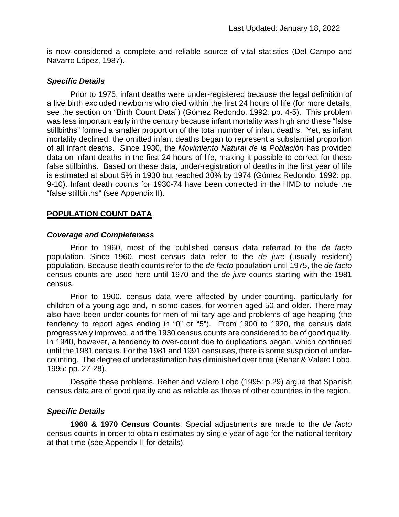is now considered a complete and reliable source of vital statistics (Del Campo and Navarro López, 1987).

#### *Specific Details*

Prior to 1975, infant deaths were under-registered because the legal definition of a live birth excluded newborns who died within the first 24 hours of life (for more details, see the section on "Birth Count Data") (Gómez Redondo, 1992: pp. 4-5). This problem was less important early in the century because infant mortality was high and these "false stillbirths" formed a smaller proportion of the total number of infant deaths. Yet, as infant mortality declined, the omitted infant deaths began to represent a substantial proportion of all infant deaths. Since 1930, the *Movimiento Natural de la Población* has provided data on infant deaths in the first 24 hours of life, making it possible to correct for these false stillbirths. Based on these data, under-registration of deaths in the first year of life is estimated at about 5% in 1930 but reached 30% by 1974 (Gómez Redondo, 1992: pp. 9-10). Infant death counts for 1930-74 have been corrected in the HMD to include the "false stillbirths" (see Appendix II).

#### **POPULATION COUNT DATA**

#### *Coverage and Completeness*

Prior to 1960, most of the published census data referred to the *de facto* population. Since 1960, most census data refer to the *de jure* (usually resident) population. Because death counts refer to the *de facto* population until 1975, the *de facto* census counts are used here until 1970 and the *de jure* counts starting with the 1981 census.

Prior to 1900, census data were affected by under-counting, particularly for children of a young age and, in some cases, for women aged 50 and older. There may also have been under-counts for men of military age and problems of age heaping (the tendency to report ages ending in "0" or "5"). From 1900 to 1920, the census data progressively improved, and the 1930 census counts are considered to be of good quality. In 1940, however, a tendency to over-count due to duplications began, which continued until the 1981 census. For the 1981 and 1991 censuses, there is some suspicion of undercounting. The degree of underestimation has diminished over time (Reher & Valero Lobo, 1995: pp. 27-28).

Despite these problems, Reher and Valero Lobo (1995: p.29) argue that Spanish census data are of good quality and as reliable as those of other countries in the region.

#### *Specific Details*

**1960 & 1970 Census Counts**: Special adjustments are made to the *de facto* census counts in order to obtain estimates by single year of age for the national territory at that time (see Appendix II for details).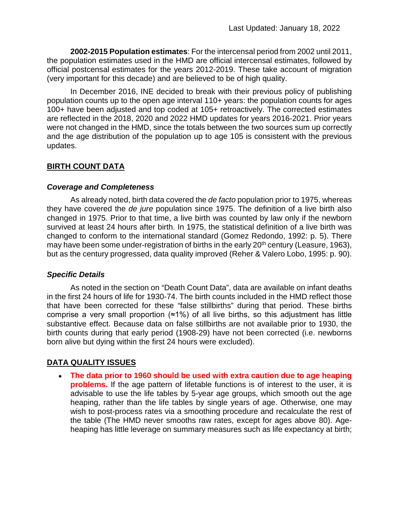**2002-2015 Population estimates**: For the intercensal period from 2002 until 2011, the population estimates used in the HMD are official intercensal estimates, followed by official postcensal estimates for the years 2012-2019. These take account of migration (very important for this decade) and are believed to be of high quality.

In December 2016, INE decided to break with their previous policy of publishing population counts up to the open age interval 110+ years: the population counts for ages 100+ have been adjusted and top coded at 105+ retroactively. The corrected estimates are reflected in the 2018, 2020 and 2022 HMD updates for years 2016-2021. Prior years were not changed in the HMD, since the totals between the two sources sum up correctly and the age distribution of the population up to age 105 is consistent with the previous updates.

# **BIRTH COUNT DATA**

#### *Coverage and Completeness*

As already noted, birth data covered the *de facto* population prior to 1975, whereas they have covered the *de jure* population since 1975. The definition of a live birth also changed in 1975. Prior to that time, a live birth was counted by law only if the newborn survived at least 24 hours after birth. In 1975, the statistical definition of a live birth was changed to conform to the international standard (Gomez Redondo, 1992: p. 5). There may have been some under-registration of births in the early 20<sup>th</sup> century (Leasure, 1963), but as the century progressed, data quality improved (Reher & Valero Lobo, 1995: p. 90).

#### *Specific Details*

As noted in the section on "Death Count Data", data are available on infant deaths in the first 24 hours of life for 1930-74. The birth counts included in the HMD reflect those that have been corrected for these "false stillbirths" during that period. These births comprise a very small proportion (≈1%) of all live births, so this adjustment has little substantive effect. Because data on false stillbirths are not available prior to 1930, the birth counts during that early period (1908-29) have not been corrected (i.e. newborns born alive but dying within the first 24 hours were excluded).

# **DATA QUALITY ISSUES**

• **The data prior to 1960 should be used with extra caution due to age heaping problems.** If the age pattern of lifetable functions is of interest to the user, it is advisable to use the life tables by 5-year age groups, which smooth out the age heaping, rather than the life tables by single years of age. Otherwise, one may wish to post-process rates via a smoothing procedure and recalculate the rest of the table (The HMD never smooths raw rates, except for ages above 80). Ageheaping has little leverage on summary measures such as life expectancy at birth;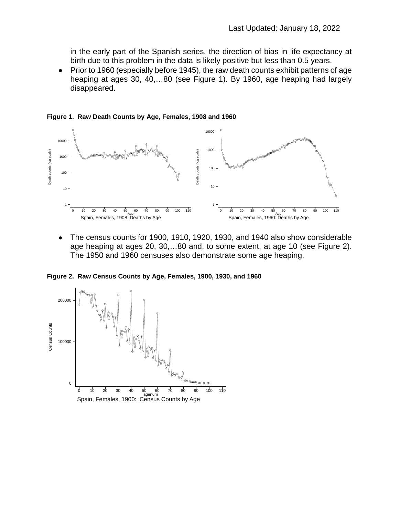in the early part of the Spanish series, the direction of bias in life expectancy at birth due to this problem in the data is likely positive but less than 0.5 years.

• Prior to 1960 (especially before 1945), the raw death counts exhibit patterns of age heaping at ages 30, 40,…80 (see Figure 1). By 1960, age heaping had largely disappeared.



**Figure 1. Raw Death Counts by Age, Females, 1908 and 1960**

• The census counts for 1900, 1910, 1920, 1930, and 1940 also show considerable age heaping at ages 20, 30,…80 and, to some extent, at age 10 (see Figure 2). The 1950 and 1960 censuses also demonstrate some age heaping.

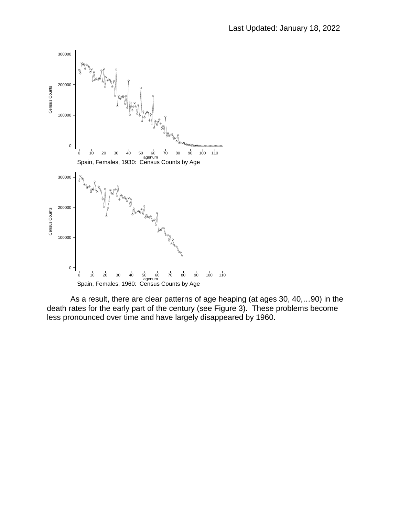

As a result, there are clear patterns of age heaping (at ages 30, 40,…90) in the death rates for the early part of the century (see Figure 3). These problems become less pronounced over time and have largely disappeared by 1960.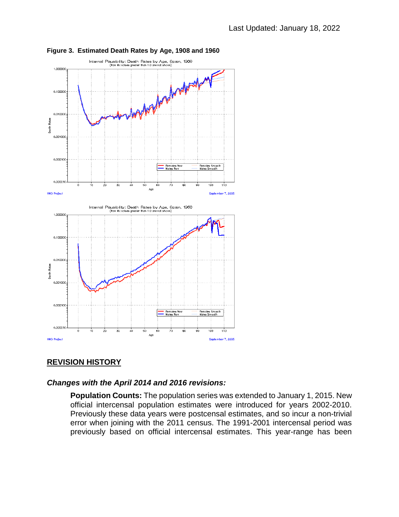

#### **Figure 3. Estimated Death Rates by Age, 1908 and 1960**

#### **REVISION HISTORY**

#### *Changes with the April 2014 and 2016 revisions:*

**Population Counts:** The population series was extended to January 1, 2015. New official intercensal population estimates were introduced for years 2002-2010. Previously these data years were postcensal estimates, and so incur a non-trivial error when joining with the 2011 census. The 1991-2001 intercensal period was previously based on official intercensal estimates. This year-range has been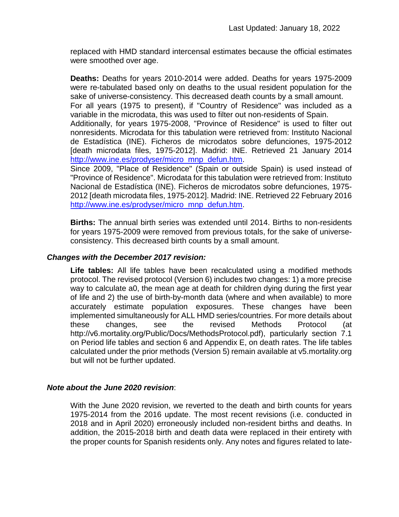replaced with HMD standard intercensal estimates because the official estimates were smoothed over age.

**Deaths:** Deaths for years 2010-2014 were added. Deaths for years 1975-2009 were re-tabulated based only on deaths to the usual resident population for the sake of universe-consistency. This decreased death counts by a small amount. For all years (1975 to present), if "Country of Residence" was included as a variable in the microdata, this was used to filter out non-residents of Spain. Additionally, for years 1975-2008, "Province of Residence" is used to filter out

nonresidents. Microdata for this tabulation were retrieved from: Instituto Nacional de Estadística (INE). Ficheros de microdatos sobre defunciones, 1975-2012 [death microdata files, 1975-2012]. Madrid: INE. Retrieved 21 January 2014 [http://www.ine.es/prodyser/micro\\_mnp\\_defun.htm.](http://www.ine.es/prodyser/micro_mnp_defun.htm)

Since 2009, "Place of Residence" (Spain or outside Spain) is used instead of "Province of Residence". Microdata for this tabulation were retrieved from: Instituto Nacional de Estadística (INE). Ficheros de microdatos sobre defunciones, 1975- 2012 [death microdata files, 1975-2012]. Madrid: INE. Retrieved 22 February 2016 [http://www.ine.es/prodyser/micro\\_mnp\\_defun.htm.](http://www.ine.es/prodyser/micro_mnp_defun.htm)

**Births:** The annual birth series was extended until 2014. Births to non-residents for years 1975-2009 were removed from previous totals, for the sake of universeconsistency. This decreased birth counts by a small amount.

#### *Changes with the December 2017 revision:*

**Life tables:** All life tables have been recalculated using a modified methods protocol. The revised protocol (Version 6) includes two changes: 1) a more precise way to calculate a0, the mean age at death for children dying during the first year of life and 2) the use of birth-by-month data (where and when available) to more accurately estimate population exposures. These changes have been implemented simultaneously for ALL HMD series/countries. For more details about these changes, see the revised Methods Protocol (at http://v6.mortality.org/Public/Docs/MethodsProtocol.pdf), particularly section 7.1 on Period life tables and section 6 and Appendix E, on death rates. The life tables calculated under the prior methods (Version 5) remain available at v5.mortality.org but will not be further updated.

#### *Note about the June 2020 revision*:

With the June 2020 revision, we reverted to the death and birth counts for years 1975-2014 from the 2016 update. The most recent revisions (i.e. conducted in 2018 and in April 2020) erroneously included non-resident births and deaths. In addition, the 2015-2018 birth and death data were replaced in their entirety with the proper counts for Spanish residents only. Any notes and figures related to late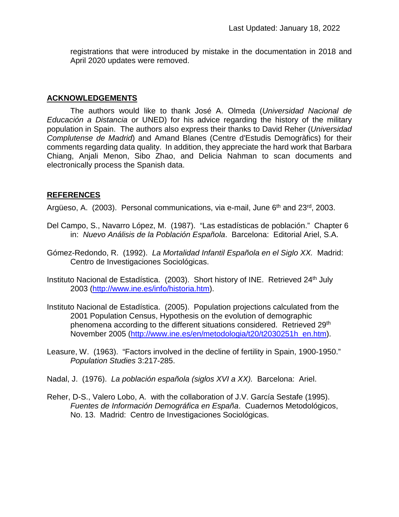registrations that were introduced by mistake in the documentation in 2018 and April 2020 updates were removed.

#### **ACKNOWLEDGEMENTS**

The authors would like to thank José A. Olmeda (*Universidad Nacional de Educación a Distancia* or UNED) for his advice regarding the history of the military population in Spain. The authors also express their thanks to David Reher (*Universidad Complutense de Madrid*) and Amand Blanes (Centre d'Estudis Demogràfics) for their comments regarding data quality. In addition, they appreciate the hard work that Barbara Chiang, Anjali Menon, Sibo Zhao, and Delicia Nahman to scan documents and electronically process the Spanish data.

### **REFERENCES**

Argüeso, A. (2003). Personal communications, via e-mail, June 6<sup>th</sup> and 23<sup>rd</sup>, 2003.

- Del Campo, S., Navarro López, M. (1987). "Las estadísticas de población." Chapter 6 in: *Nuevo Análisis de la Población Española*. Barcelona: Editorial Ariel, S.A.
- Gómez-Redondo, R. (1992). *La Mortalidad Infantil Española en el Siglo XX.* Madrid: Centro de Investigaciones Sociológicas.
- Instituto Nacional de Estadística. (2003). Short history of INE. Retrieved 24<sup>th</sup> July 2003 [\(http://www.ine.es/info/historia.htm\)](http://www.ine.es/info/historia.htm).
- Instituto Nacional de Estadística. (2005). Population projections calculated from the 2001 Population Census, Hypothesis on the evolution of demographic phenomena according to the different situations considered. Retrieved 29<sup>th</sup> November 2005 [\(http://www.ine.es/en/metodologia/t20/t2030251h\\_en.htm\)](http://www.ine.es/en/metodologia/t20/t2030251h_en.htm).
- Leasure, W. (1963). "Factors involved in the decline of fertility in Spain, 1900-1950." *Population Studies* 3:217-285.
- Nadal, J. (1976). *La población española (siglos XVI a XX).* Barcelona: Ariel.
- Reher, D-S., Valero Lobo, A. with the collaboration of J.V. García Sestafe (1995). *Fuentes de Información Demográfica en España*. Cuadernos Metodológicos, No. 13. Madrid: Centro de Investigaciones Sociológicas.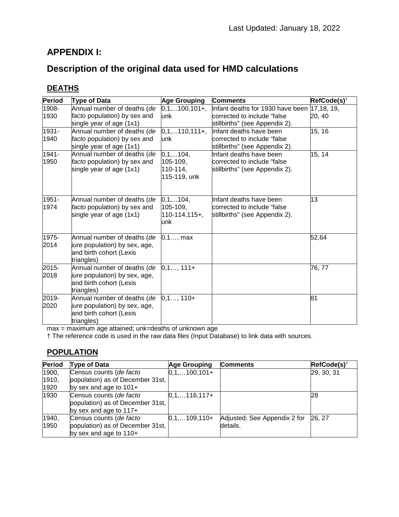# **APPENDIX I:**

# **Description of the original data used for HMD calculations**

# **DEATHS**

| <b>Period</b> | <b>Type of Data</b>           | <b>Age Grouping</b>  | <b>Comments</b>                  | RefCode(s) <sup>†</sup> |
|---------------|-------------------------------|----------------------|----------------------------------|-------------------------|
| 1908-         | Annual number of deaths (de   | $0,1,100,101+,$      | Infant deaths for 1930 have been | 17, 18, 19,             |
| 1930          | facto population) by sex and  | unk                  | corrected to include "false      | 20, 40                  |
|               | single year of age (1x1)      |                      | stillbirths" (see Appendix 2).   |                         |
| 1931-         | Annual number of deaths (de   | $0,1,110,111+,$      | Infant deaths have been          | 15, 16                  |
| 1940          | facto population) by sex and  | unk                  | corrected to include "false      |                         |
|               | single year of age (1x1)      |                      | stillbirths" (see Appendix 2).   |                         |
| $1941 -$      | Annual number of deaths (de   | $0, 1, \ldots 104,$  | Infant deaths have been          | 15, 14                  |
| 1950          | facto population) by sex and  | 105-109,             | corrected to include "false      |                         |
|               | single year of age (1x1)      | $110 - 114,$         | stillbirths" (see Appendix 2).   |                         |
|               |                               | 115-119, unk         |                                  |                         |
|               |                               |                      |                                  |                         |
| 1951-         | Annual number of deaths (de   | $0, 1, \ldots 104,$  | Infant deaths have been          | 13                      |
| 1974          | facto population) by sex and  | 105-109,             | corrected to include "false      |                         |
|               | single year of age (1x1)      | $110-114,115+$ ,     | stillbirths" (see Appendix 2).   |                         |
|               |                               | unk                  |                                  |                         |
| 1975-         | Annual number of deaths (de   | $0, 1, \ldots$ , max |                                  | 52,64                   |
| 2014          | jure population) by sex, age, |                      |                                  |                         |
|               | and birth cohort (Lexis       |                      |                                  |                         |
|               | triangles)                    |                      |                                  |                         |
| 2015-         | Annual number of deaths (de   | $0,1$ , 111+         |                                  | 76, 77                  |
| 2018          | jure population) by sex, age, |                      |                                  |                         |
|               | and birth cohort (Lexis       |                      |                                  |                         |
|               | triangles)                    |                      |                                  |                         |
| 2019-         | Annual number of deaths (de   | $0,1$ , 110+         |                                  | 81                      |
| 2020          | jure population) by sex, age, |                      |                                  |                         |
|               | and birth cohort (Lexis       |                      |                                  |                         |
|               | triangles)                    |                      |                                  |                         |

max = maximum age attained; unk=deaths of unknown age

† The reference code is used in the raw data files (Input Database) to link data with sources.

#### **POPULATION**

| Period | <b>Type of Data</b>                                                                     | <b>Age Grouping</b> | <b>Comments</b>              | RefCode(s) <sup>†</sup> |
|--------|-----------------------------------------------------------------------------------------|---------------------|------------------------------|-------------------------|
| 1900,  | Census counts (de facto                                                                 | $0,1,100,101+$      |                              | 29, 30, 31              |
| 1910,  | population) as of December 31st,                                                        |                     |                              |                         |
| 1920   | by sex and age to $101+$                                                                |                     |                              |                         |
| 1930   | Census counts (de facto<br>population) as of December 31st,<br>by sex and age to $117+$ | $0,1,116,117+$      |                              | 28                      |
| 1940,  | Census counts (de facto                                                                 | $0,1,109,110+$      | Adjusted; See Appendix 2 for | 26.27                   |
| 1950   | population) as of December 31st,                                                        |                     | details.                     |                         |
|        | by sex and age to 110+                                                                  |                     |                              |                         |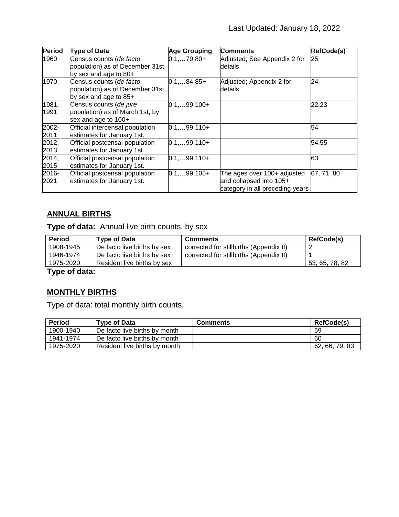| <b>Period</b> | Type of Data                     | <b>Age Grouping</b> | <b>Comments</b>                 | RefCode(s) <sup>†</sup> |
|---------------|----------------------------------|---------------------|---------------------------------|-------------------------|
| 1960          | Census counts (de facto          | $0,1,79,80+$        | Adjusted; See Appendix 2 for    | 25                      |
|               | population) as of December 31st, |                     | ldetails.                       |                         |
|               | by sex and age to 80+            |                     |                                 |                         |
| 1970          | Census counts (de facto          | $0,1,84,85+$        | Adjusted; Appendix 2 for        | 24                      |
|               | population) as of December 31st, |                     | details.                        |                         |
|               | by sex and age to 85+            |                     |                                 |                         |
| 1981,         | Census counts (de jure           | $0,1,99,100+$       |                                 | 22,23                   |
| 1991          | population) as of March 1st, by  |                     |                                 |                         |
|               | sex and age to 100+              |                     |                                 |                         |
| 2002-         | Official intercensal population  | $0,1,99,110+$       |                                 | 54                      |
| 2011          | estimates for January 1st.       |                     |                                 |                         |
| 2012,         | Official postcensal population   | $0,1,99,110+$       |                                 | 54,55                   |
| 2013          | estimates for January 1st.       |                     |                                 |                         |
| 2014,         | Official postcensal population   | $0,1,99,110+$       |                                 | 63                      |
| 2015          | estimates for January 1st.       |                     |                                 |                         |
| 2016-         | Official postcensal population   | $0,1,99,105+$       | The ages over 100+ adjusted     | 67, 71, 80              |
| 2021          | estimates for January 1st.       |                     | and collapsed into 105+         |                         |
|               |                                  |                     | category in all preceding years |                         |

# **ANNUAL BIRTHS**

**Type of data:** Annual live birth counts, by sex

| <b>Period</b> | Type of Data                | <b>Comments</b>                         | RefCode(s)     |
|---------------|-----------------------------|-----------------------------------------|----------------|
| 1908-1945     | De facto live births by sex | corrected for stillbirths (Appendix II) |                |
| 1946-1974     | De facto live births by sex | corrected for stillbirths (Appendix II) |                |
| 1975-2020     | Resident live births by sex |                                         | 53, 65, 78, 82 |

**Type of data:**

# **MONTHLY BIRTHS**

Type of data: total monthly birth counts.

| <b>Period</b> | Type of Data                  | <b>Comments</b> | <b>RefCode(s)</b> |
|---------------|-------------------------------|-----------------|-------------------|
| 1900-1940     | De facto live births by month |                 | 59                |
| 1941-1974     | De facto live births by month |                 | 60                |
| 1975-2020     | Resident live births by month |                 | 62, 66, 79, 83    |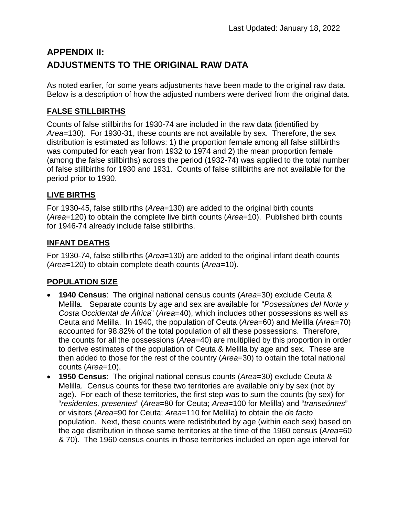# **APPENDIX II: ADJUSTMENTS TO THE ORIGINAL RAW DATA**

As noted earlier, for some years adjustments have been made to the original raw data. Below is a description of how the adjusted numbers were derived from the original data.

# **FALSE STILLBIRTHS**

Counts of false stillbirths for 1930-74 are included in the raw data (identified by *Area*=130). For 1930-31, these counts are not available by sex. Therefore, the sex distribution is estimated as follows: 1) the proportion female among all false stillbirths was computed for each year from 1932 to 1974 and 2) the mean proportion female (among the false stillbirths) across the period (1932-74) was applied to the total number of false stillbirths for 1930 and 1931. Counts of false stillbirths are not available for the period prior to 1930.

# **LIVE BIRTHS**

For 1930-45, false stillbirths (*Area*=130) are added to the original birth counts (*Area*=120) to obtain the complete live birth counts (*Area*=10). Published birth counts for 1946-74 already include false stillbirths.

# **INFANT DEATHS**

For 1930-74, false stillbirths (*Area*=130) are added to the original infant death counts (*Area*=120) to obtain complete death counts (*Area*=10).

# **POPULATION SIZE**

- **1940 Census**: The original national census counts (*Area*=30) exclude Ceuta & Melilla. Separate counts by age and sex are available for "*Posessiones del Norte y Costa Occidental de África*" (*Area*=40), which includes other possessions as well as Ceuta and Melilla. In 1940, the population of Ceuta (*Area*=60) and Melilla (*Area*=70) accounted for 98.82% of the total population of all these possessions. Therefore, the counts for all the possessions (*Area*=40) are multiplied by this proportion in order to derive estimates of the population of Ceuta & Melilla by age and sex. These are then added to those for the rest of the country (*Area*=30) to obtain the total national counts (*Area*=10).
- **1950 Census**: The original national census counts (*Area*=30) exclude Ceuta & Melilla. Census counts for these two territories are available only by sex (not by age). For each of these territories, the first step was to sum the counts (by sex) for "*residentes, presentes*" (*Area*=80 for Ceuta; *Area*=100 for Melilla) and "*transeúntes*" or visitors (*Area*=90 for Ceuta; *Area*=110 for Melilla) to obtain the *de facto* population. Next, these counts were redistributed by age (within each sex) based on the age distribution in those same territories at the time of the 1960 census (*Area*=60 & 70). The 1960 census counts in those territories included an open age interval for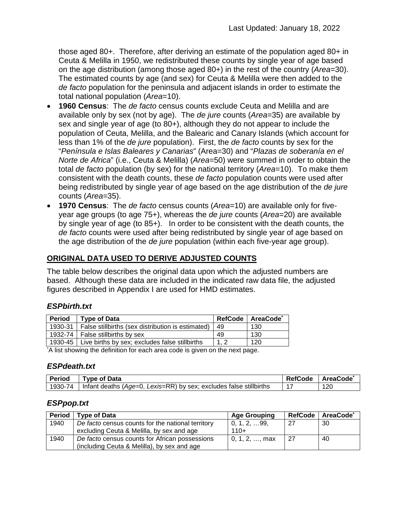those aged 80+. Therefore, after deriving an estimate of the population aged 80+ in Ceuta & Melilla in 1950, we redistributed these counts by single year of age based on the age distribution (among those aged 80+) in the rest of the country (*Area*=30). The estimated counts by age (and sex) for Ceuta & Melilla were then added to the *de facto* population for the peninsula and adjacent islands in order to estimate the total national population (*Area*=10).

- **1960 Census**: The *de facto* census counts exclude Ceuta and Melilla and are available only by sex (not by age). The *de jure* counts (*Area*=35) are available by sex and single year of age (to 80+), although they do not appear to include the population of Ceuta, Melilla, and the Balearic and Canary Islands (which account for less than 1% of the *de jure* population). First, the *de facto* counts by sex for the "*Península e Islas Baleares y Canarias*" (Area=30) and "*Plazas de soberanía en el Norte de Africa*" (i.e., Ceuta & Melilla) (*Area*=50) were summed in order to obtain the total *de facto* population (by sex) for the national territory (*Area*=10). To make them consistent with the death counts, these *de facto* population counts were used after being redistributed by single year of age based on the age distribution of the *de jure* counts (*Area*=35).
- **1970 Census**: The *de facto* census counts (*Area*=10) are available only for fiveyear age groups (to age 75+), whereas the *de jure* counts (*Area*=20) are available by single year of age (to 85+). In order to be consistent with the death counts, the *de facto* counts were used after being redistributed by single year of age based on the age distribution of the *de jure* population (within each five-year age group).

# **ORIGINAL DATA USED TO DERIVE ADJUSTED COUNTS**

The table below describes the original data upon which the adjusted numbers are based. Although these data are included in the indicated raw data file, the adjusted figures described in Appendix I are used for HMD estimates.

# *ESPbirth.txt*

| <b>Period</b> | Type of Data                                                |    | RefCode   AreaCode <sup>*</sup> |
|---------------|-------------------------------------------------------------|----|---------------------------------|
|               | 1930-31   False stillbirths (sex distribution is estimated) | 49 | 130                             |
|               | 1932-74   False stillbirths by sex                          | 49 | 130                             |
|               | 1930-45   Live births by sex; excludes false stillbirths    |    | 120                             |

\* A list showing the definition for each area code is given on the next page.

#### *ESPdeath.txt*

| <b>Period</b> | <b>Type of Data</b>                                                | <b>RefCode</b> | <b>AreaCode</b> |
|---------------|--------------------------------------------------------------------|----------------|-----------------|
| 1930-74       | Infant deaths (Age=0, Lexis=RR) by sex; excludes false stillbirths |                | 120             |

#### *ESPpop.txt*

| <b>Period</b> | Type of Data                                      | <b>Age Grouping</b> |     | RefCode   AreaCode* |
|---------------|---------------------------------------------------|---------------------|-----|---------------------|
| 1940          | De facto census counts for the national territory | 0, 1, 2, …99,       | -27 | -30                 |
|               | excluding Ceuta & Melilla, by sex and age         | $110+$              |     |                     |
| 1940          | De facto census counts for African possessions    | 0, 1, 2, , max      | -27 | 40                  |
|               | (including Ceuta & Melilla), by sex and age       |                     |     |                     |